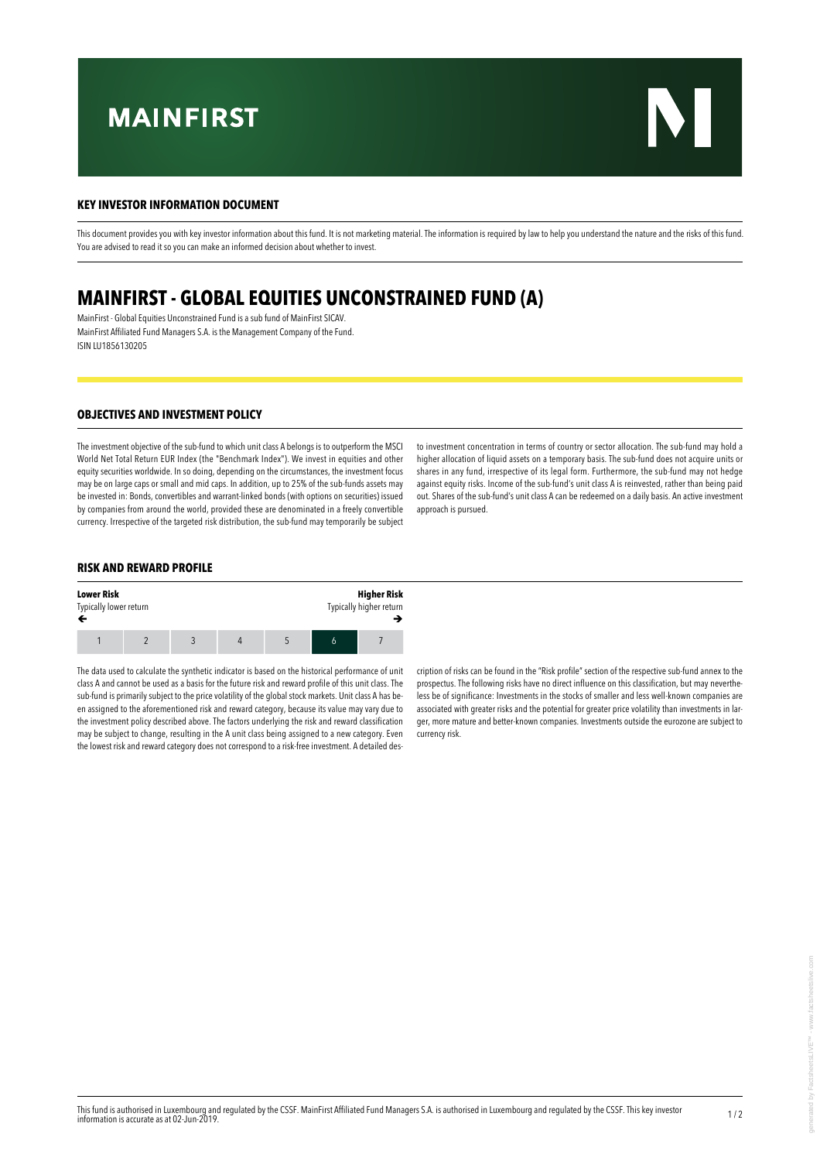# **MAINFIRST**



This document provides you with key investor information about this fund. It is not marketing material. The information is required by law to help you understand the nature and the risks of this fund. You are advised to read it so you can make an informed decision about whether to invest.

# **MAINFIRST - GLOBAL EQUITIES UNCONSTRAINED FUND (A)**

MainFirst - Global Equities Unconstrained Fund is a sub fund of MainFirst SICAV. MainFirst Affiliated Fund Managers S.A. is the Management Company of the Fund. ISIN LU1856130205

# **OBJECTIVES AND INVESTMENT POLICY**

The investment objective of the sub-fund to which unit class A belongs is to outperform the MSCI World Net Total Return EUR Index (the "Benchmark Index"). We invest in equities and other equity securities worldwide. In so doing, depending on the circumstances, the investment focus may be on large caps or small and mid caps. In addition, up to 25% of the sub-funds assets may be invested in: Bonds, convertibles and warrant-linked bonds (with options on securities) issued by companies from around the world, provided these are denominated in a freely convertible currency. Irrespective of the targeted risk distribution, the sub-fund may temporarily be subject to investment concentration in terms of country or sector allocation. The sub-fund may hold a higher allocation of liquid assets on a temporary basis. The sub-fund does not acquire units or shares in any fund, irrespective of its legal form. Furthermore, the sub-fund may not hedge against equity risks. Income of the sub-fund's unit class A is reinvested, rather than being paid out. Shares of the sub-fund's unit class A can be redeemed on a daily basis. An active investment approach is pursued.

# **RISK AND REWARD PROFILE**

| <b>Lower Risk</b>      |  |  |  | <b>Higher Risk</b>      |  |  |  |
|------------------------|--|--|--|-------------------------|--|--|--|
| Typically lower return |  |  |  | Typically higher return |  |  |  |
|                        |  |  |  |                         |  |  |  |

The data used to calculate the synthetic indicator is based on the historical performance of unit class A and cannot be used as a basis for the future risk and reward profile of this unit class. The sub-fund is primarily subject to the price volatility of the global stock markets. Unit class A has been assigned to the aforementioned risk and reward category, because its value may vary due to the investment policy described above. The factors underlying the risk and reward classification may be subject to change, resulting in the A unit class being assigned to a new category. Even the lowest risk and reward category does not correspond to a risk-free investment. A detailed description of risks can be found in the "Risk profile" section of the respective sub-fund annex to the prospectus. The following risks have no direct influence on this classification, but may nevertheless be of significance: Investments in the stocks of smaller and less well-known companies are associated with greater risks and the potential for greater price volatility than investments in larger, more mature and better-known companies. Investments outside the eurozone are subject to currency risk.